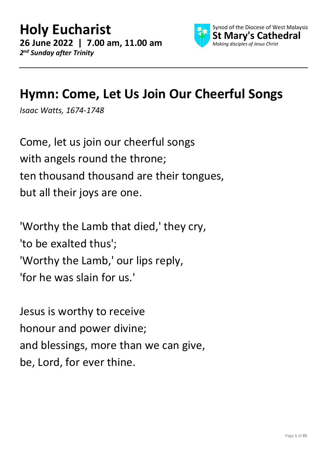

## **Hymn: Come, Let Us Join Our Cheerful Songs**

*Isaac Watts, 1674-1748*

Come, let us join our cheerful songs with angels round the throne; ten thousand thousand are their tongues, but all their joys are one.

'Worthy the Lamb that died,' they cry, 'to be exalted thus'; 'Worthy the Lamb,' our lips reply, 'for he was slain for us.'

Jesus is worthy to receive honour and power divine; and blessings, more than we can give, be, Lord, for ever thine.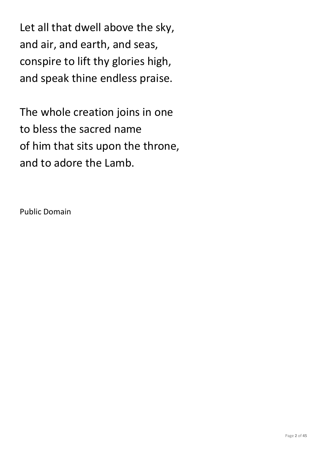Let all that dwell above the sky, and air, and earth, and seas, conspire to lift thy glories high, and speak thine endless praise.

The whole creation joins in one to bless the sacred name of him that sits upon the throne, and to adore the Lamb.

Public Domain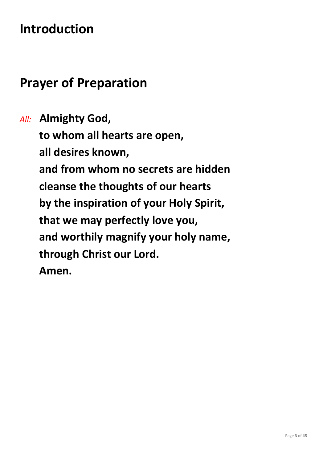## **Introduction**

#### **Prayer of Preparation**

*All:* **Almighty God, to whom all hearts are open, all desires known, and from whom no secrets are hidden cleanse the thoughts of our hearts by the inspiration of your Holy Spirit, that we may perfectly love you, and worthily magnify your holy name, through Christ our Lord. Amen.**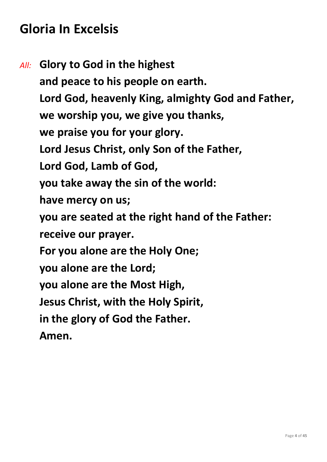## **Gloria In Excelsis**

*All:* **Glory to God in the highest and peace to his people on earth. Lord God, heavenly King, almighty God and Father, we worship you, we give you thanks, we praise you for your glory. Lord Jesus Christ, only Son of the Father, Lord God, Lamb of God, you take away the sin of the world: have mercy on us; you are seated at the right hand of the Father: receive our prayer. For you alone are the Holy One; you alone are the Lord; you alone are the Most High, Jesus Christ, with the Holy Spirit, in the glory of God the Father. Amen.**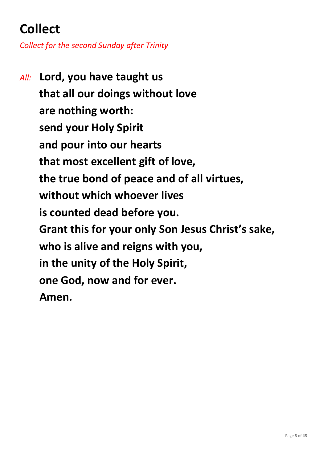# **Collect**

*Collect for the second Sunday after Trinity*

*All:* **Lord, you have taught us that all our doings without love are nothing worth: send your Holy Spirit and pour into our hearts that most excellent gift of love, the true bond of peace and of all virtues, without which whoever lives is counted dead before you. Grant this for your only Son Jesus Christ's sake, who is alive and reigns with you, in the unity of the Holy Spirit, one God, now and for ever. Amen.**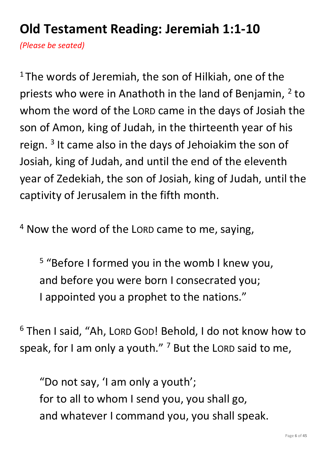# **Old Testament Reading: Jeremiah 1:1-10**

*(Please be seated)*

<sup>1</sup>The words of Jeremiah, the son of Hilkiah, one of the priests who were in Anathoth in the land of Benjamin, <sup>2</sup> to whom the word of the LORD came in the days of Josiah the son of Amon, king of Judah, in the thirteenth year of his reign.<sup>3</sup> It came also in the days of Jehoiakim the son of Josiah, king of Judah, and until the end of the eleventh year of Zedekiah, the son of Josiah, king of Judah, until the captivity of Jerusalem in the fifth month.

<sup>4</sup> Now the word of the LORD came to me, saying,

<sup>5</sup> "Before I formed you in the womb I knew you, and before you were born I consecrated you; I appointed you a prophet to the nations."

<sup>6</sup> Then I said, "Ah, LORD GOD! Behold, I do not know how to speak, for I am only a youth."  $7$  But the LORD said to me,

"Do not say, 'I am only a youth'; for to all to whom I send you, you shall go, and whatever I command you, you shall speak.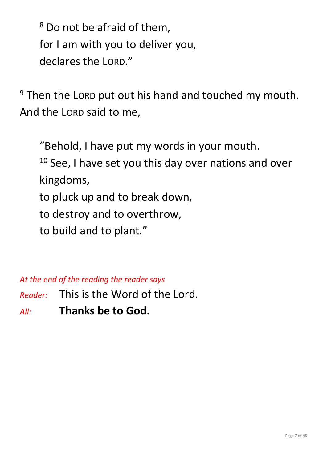<sup>8</sup> Do not be afraid of them, for I am with you to deliver you, declares the LORD."

<sup>9</sup> Then the LORD put out his hand and touched my mouth. And the LORD said to me,

"Behold, I have put my words in your mouth.  $10$  See, I have set you this day over nations and over kingdoms, to pluck up and to break down, to destroy and to overthrow, to build and to plant."

*At the end of the reading the reader says*

*Reader:* This is the Word of the Lord.

*All:* **Thanks be to God.**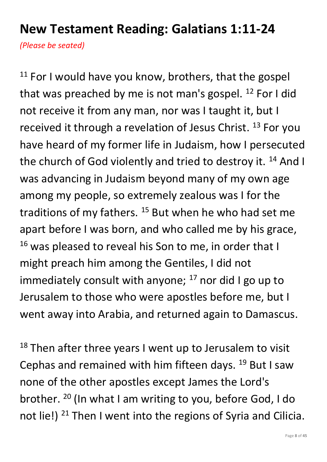#### **New Testament Reading: Galatians 1:11-24**

*(Please be seated)*

 $11$  For I would have you know, brothers, that the gospel that was preached by me is not man's gospel.  $^{12}$  For I did not receive it from any man, nor was I taught it, but I received it through a revelation of Jesus Christ.<sup>13</sup> For you have heard of my former life in Judaism, how I persecuted the church of God violently and tried to destroy it. <sup>14</sup> And I was advancing in Judaism beyond many of my own age among my people, so extremely zealous was I for the traditions of my fathers.  $15$  But when he who had set me apart before I was born, and who called me by his grace,  $16$  was pleased to reveal his Son to me, in order that I might preach him among the Gentiles, I did not immediately consult with anyone;  $^{17}$  nor did I go up to Jerusalem to those who were apostles before me, but I went away into Arabia, and returned again to Damascus.

 $18$  Then after three years I went up to Jerusalem to visit Cephas and remained with him fifteen days. <sup>19</sup> But I saw none of the other apostles except James the Lord's brother. <sup>20</sup> (In what I am writing to you, before God, I do not lie!)  $21$  Then I went into the regions of Syria and Cilicia.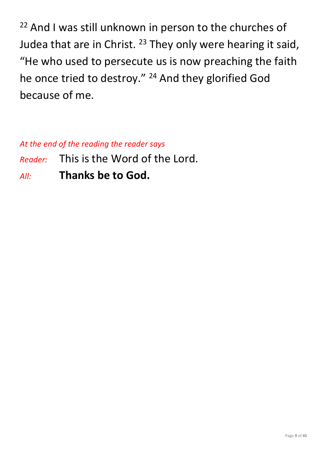$22$  And I was still unknown in person to the churches of Judea that are in Christ. <sup>23</sup> They only were hearing it said, "He who used to persecute us is now preaching the faith he once tried to destroy." <sup>24</sup> And they glorified God because of me.

*At the end of the reading the reader says*

- *Reader:* This is the Word of the Lord.
- *All:* **Thanks be to God.**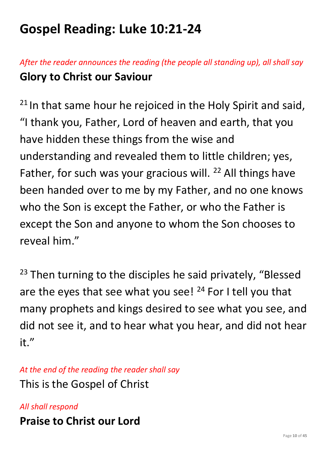# **Gospel Reading: Luke 10:21-24**

#### *After the reader announces the reading (the people all standing up), all shall say* **Glory to Christ our Saviour**

 $21$  In that same hour he rejoiced in the Holy Spirit and said, "I thank you, Father, Lord of heaven and earth, that you have hidden these things from the wise and understanding and revealed them to little children; yes, Father, for such was your gracious will. <sup>22</sup> All things have been handed over to me by my Father, and no one knows who the Son is except the Father, or who the Father is except the Son and anyone to whom the Son chooses to reveal him."

<sup>23</sup> Then turning to the disciples he said privately, "Blessed are the eyes that see what you see!  $24$  For I tell you that many prophets and kings desired to see what you see, and did not see it, and to hear what you hear, and did not hear it."

*At the end of the reading the reader shall say* This is the Gospel of Christ

*All shall respond* **Praise to Christ our Lord**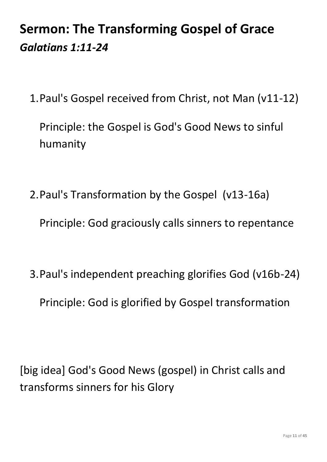# **Sermon: The Transforming Gospel of Grace** *Galatians 1:11-24*

1.Paul's Gospel received from Christ, not Man (v11-12)

Principle: the Gospel is God's Good News to sinful humanity

2.Paul's Transformation by the Gospel (v13-16a)

Principle: God graciously calls sinners to repentance

3.Paul's independent preaching glorifies God (v16b-24)

Principle: God is glorified by Gospel transformation

[big idea] God's Good News (gospel) in Christ calls and transforms sinners for his Glory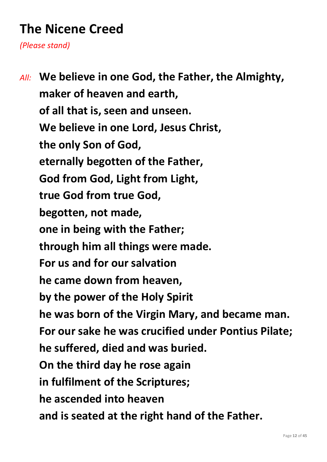# **The Nicene Creed**

*(Please stand)*

*All:* **We believe in one God, the Father, the Almighty, maker of heaven and earth, of all that is, seen and unseen. We believe in one Lord, Jesus Christ, the only Son of God, eternally begotten of the Father, God from God, Light from Light, true God from true God, begotten, not made, one in being with the Father; through him all things were made. For us and for our salvation he came down from heaven, by the power of the Holy Spirit he was born of the Virgin Mary, and became man. For our sake he was crucified under Pontius Pilate; he suffered, died and was buried. On the third day he rose again in fulfilment of the Scriptures; he ascended into heaven and is seated at the right hand of the Father.**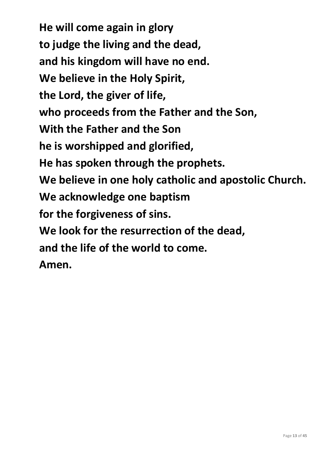**He will come again in glory to judge the living and the dead, and his kingdom will have no end. We believe in the Holy Spirit, the Lord, the giver of life, who proceeds from the Father and the Son, With the Father and the Son he is worshipped and glorified, He has spoken through the prophets. We believe in one holy catholic and apostolic Church. We acknowledge one baptism for the forgiveness of sins. We look for the resurrection of the dead, and the life of the world to come. Amen.**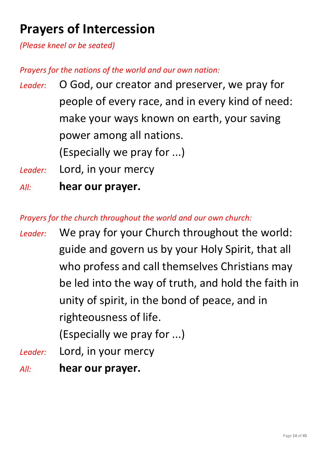# **Prayers of Intercession**

*(Please kneel or be seated)*

*Prayers for the nations of the world and our own nation:*

- *Leader:* O God, our creator and preserver, we pray for people of every race, and in every kind of need: make your ways known on earth, your saving power among all nations. (Especially we pray for ...)
- *Leader:* Lord, in your mercy
- *All:* **hear our prayer.**

*Prayers for the church throughout the world and our own church:*

*Leader:* We pray for your Church throughout the world: guide and govern us by your Holy Spirit, that all who profess and call themselves Christians may be led into the way of truth, and hold the faith in unity of spirit, in the bond of peace, and in righteousness of life.

(Especially we pray for ...)

- *Leader:* Lord, in your mercy
- *All:* **hear our prayer.**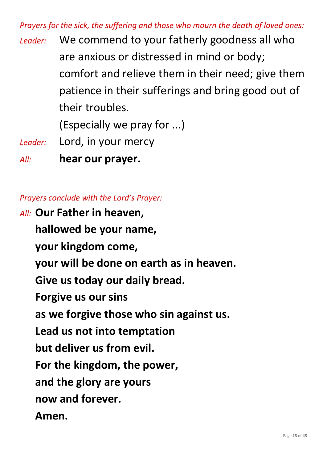*Prayers for the sick, the suffering and those who mourn the death of loved ones:*

*Leader:* We commend to your fatherly goodness all who are anxious or distressed in mind or body; comfort and relieve them in their need; give them patience in their sufferings and bring good out of their troubles.

(Especially we pray for ...)

*Leader:* Lord, in your mercy

*All:* **hear our prayer.**

*Prayers conclude with the Lord's Prayer:*

*All:* **Our Father in heaven, hallowed be your name, your kingdom come, your will be done on earth as in heaven. Give us today our daily bread. Forgive us our sins as we forgive those who sin against us. Lead us not into temptation but deliver us from evil. For the kingdom, the power, and the glory are yours now and forever. Amen.**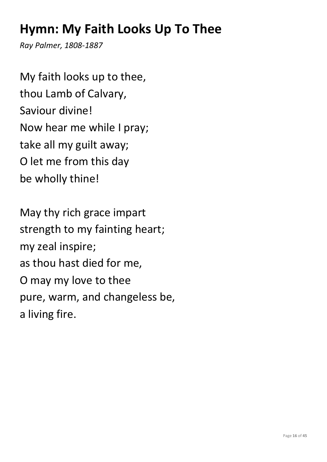## **Hymn: My Faith Looks Up To Thee**

*Ray Palmer, 1808-1887*

My faith looks up to thee, thou Lamb of Calvary, Saviour divine! Now hear me while I pray; take all my guilt away; O let me from this day be wholly thine!

May thy rich grace impart strength to my fainting heart; my zeal inspire; as thou hast died for me, O may my love to thee pure, warm, and changeless be, a living fire.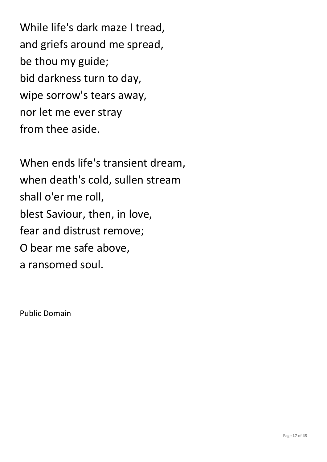While life's dark maze I tread, and griefs around me spread, be thou my guide; bid darkness turn to day, wipe sorrow's tears away, nor let me ever stray from thee aside.

When ends life's transient dream, when death's cold, sullen stream shall o'er me roll, blest Saviour, then, in love, fear and distrust remove; O bear me safe above, a ransomed soul.

Public Domain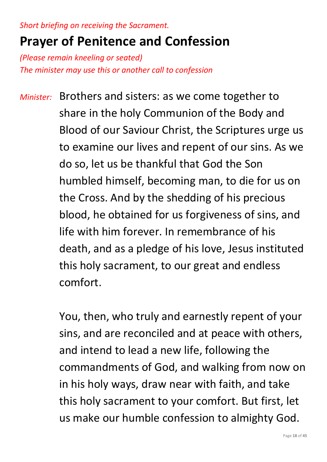*Short briefing on receiving the Sacrament.*

#### **Prayer of Penitence and Confession**

*(Please remain kneeling or seated) The minister may use this or another call to confession*

*Minister:* Brothers and sisters: as we come together to share in the holy Communion of the Body and Blood of our Saviour Christ, the Scriptures urge us to examine our lives and repent of our sins. As we do so, let us be thankful that God the Son humbled himself, becoming man, to die for us on the Cross. And by the shedding of his precious blood, he obtained for us forgiveness of sins, and life with him forever. In remembrance of his death, and as a pledge of his love, Jesus instituted this holy sacrament, to our great and endless comfort.

> You, then, who truly and earnestly repent of your sins, and are reconciled and at peace with others, and intend to lead a new life, following the commandments of God, and walking from now on in his holy ways, draw near with faith, and take this holy sacrament to your comfort. But first, let us make our humble confession to almighty God.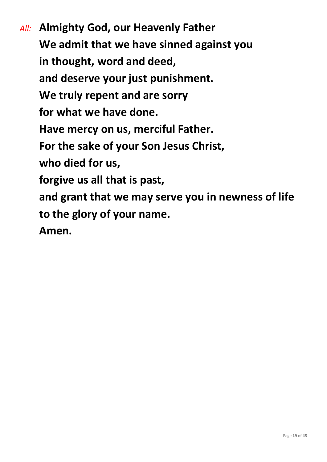*All:* **Almighty God, our Heavenly Father We admit that we have sinned against you in thought, word and deed, and deserve your just punishment. We truly repent and are sorry for what we have done. Have mercy on us, merciful Father. For the sake of your Son Jesus Christ, who died for us, forgive us all that is past, and grant that we may serve you in newness of life to the glory of your name. Amen.**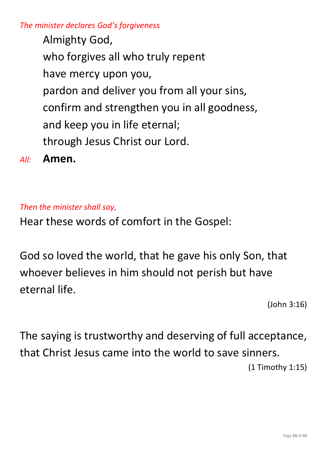*The minister declares God's forgiveness*

Almighty God, who forgives all who truly repent have mercy upon you, pardon and deliver you from all your sins, confirm and strengthen you in all goodness, and keep you in life eternal; through Jesus Christ our Lord.

*All:* **Amen.**

#### *Then the minister shall say,*

Hear these words of comfort in the Gospel:

God so loved the world, that he gave his only Son, that whoever believes in him should not perish but have eternal life.

(John 3:16)

The saying is trustworthy and deserving of full acceptance, that Christ Jesus came into the world to save sinners. (1 Timothy 1:15)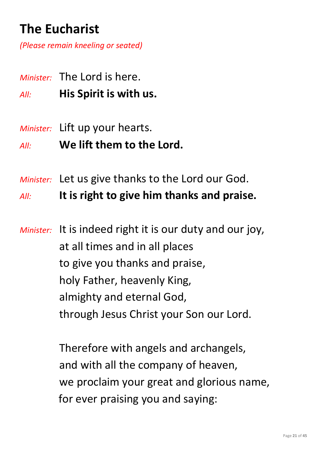# **The Eucharist**

*(Please remain kneeling or seated)*

- *Minister:* The Lord is here.
- *All:* **His Spirit is with us.**
- *Minister:* Lift up your hearts.
- *All:* **We lift them to the Lord.**
- *Minister:* Let us give thanks to the Lord our God.

*All:* **It is right to give him thanks and praise.**

*Minister:* It is indeed right it is our duty and our joy, at all times and in all places to give you thanks and praise, holy Father, heavenly King, almighty and eternal God, through Jesus Christ your Son our Lord.

> Therefore with angels and archangels, and with all the company of heaven, we proclaim your great and glorious name, for ever praising you and saying: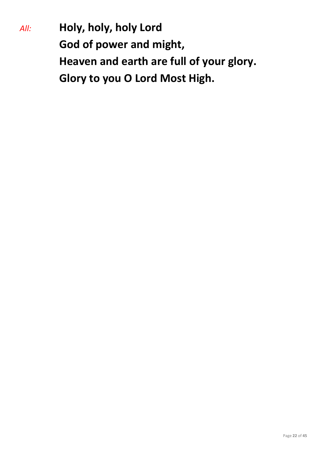*All:* **Holy, holy, holy Lord God of power and might, Heaven and earth are full of your glory. Glory to you O Lord Most High.**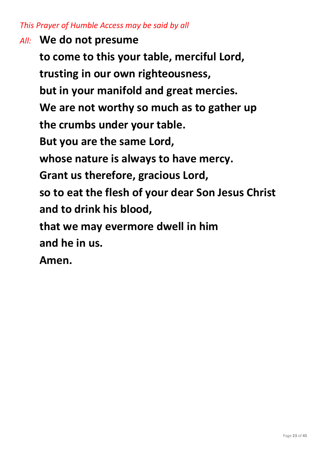#### *This Prayer of Humble Access may be said by all*

*All:* **We do not presume to come to this your table, merciful Lord, trusting in our own righteousness, but in your manifold and great mercies. We are not worthy so much as to gather up the crumbs under your table. But you are the same Lord, whose nature is always to have mercy. Grant us therefore, gracious Lord, so to eat the flesh of your dear Son Jesus Christ and to drink his blood, that we may evermore dwell in him and he in us. Amen.**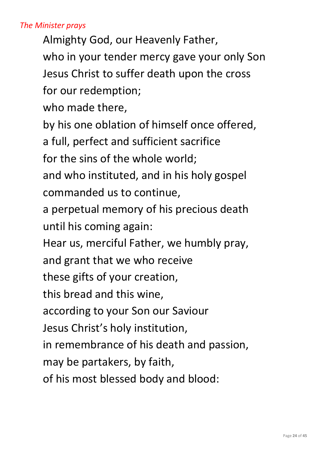#### *The Minister prays*

Almighty God, our Heavenly Father, who in your tender mercy gave your only Son Jesus Christ to suffer death upon the cross for our redemption;

who made there,

by his one oblation of himself once offered,

a full, perfect and sufficient sacrifice

for the sins of the whole world;

and who instituted, and in his holy gospel commanded us to continue,

a perpetual memory of his precious death until his coming again:

Hear us, merciful Father, we humbly pray,

and grant that we who receive

these gifts of your creation,

this bread and this wine,

according to your Son our Saviour

Jesus Christ's holy institution,

in remembrance of his death and passion,

may be partakers, by faith,

of his most blessed body and blood: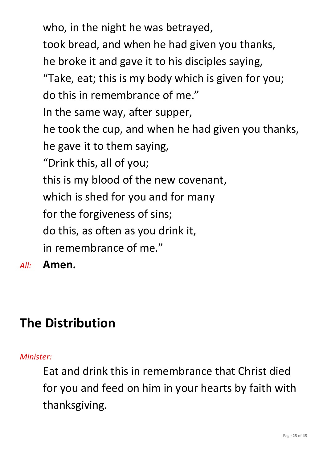who, in the night he was betrayed, took bread, and when he had given you thanks, he broke it and gave it to his disciples saying, "Take, eat; this is my body which is given for you; do this in remembrance of me." In the same way, after supper, he took the cup, and when he had given you thanks, he gave it to them saying, "Drink this, all of you; this is my blood of the new covenant, which is shed for you and for many for the forgiveness of sins; do this, as often as you drink it, in remembrance of me."

*All:* **Amen.**

# **The Distribution**

#### *Minister:*

Eat and drink this in remembrance that Christ died for you and feed on him in your hearts by faith with thanksgiving.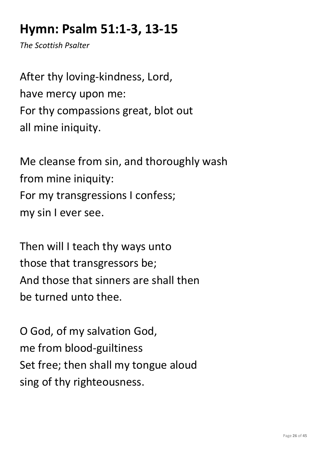# **Hymn: Psalm 51:1-3, 13-15**

*The Scottish Psalter*

After thy loving-kindness, Lord, have mercy upon me: For thy compassions great, blot out all mine iniquity.

Me cleanse from sin, and thoroughly wash from mine iniquity: For my transgressions I confess; my sin I ever see.

Then will I teach thy ways unto those that transgressors be; And those that sinners are shall then be turned unto thee.

O God, of my salvation God, me from blood-guiltiness Set free; then shall my tongue aloud sing of thy righteousness.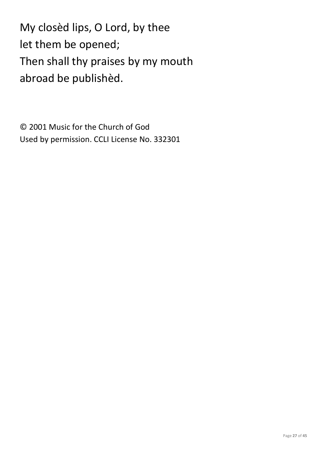My closèd lips, O Lord, by thee let them be opened; Then shall thy praises by my mouth abroad be publishèd.

© 2001 Music for the Church of God Used by permission. CCLI License No. 332301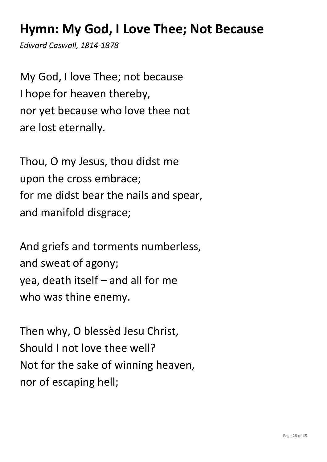## **Hymn: My God, I Love Thee; Not Because**

*Edward Caswall, 1814-1878*

My God, I love Thee; not because I hope for heaven thereby, nor yet because who love thee not are lost eternally.

Thou, O my Jesus, thou didst me upon the cross embrace; for me didst bear the nails and spear, and manifold disgrace;

And griefs and torments numberless, and sweat of agony; yea, death itself – and all for me who was thine enemy.

Then why, O blessèd Jesu Christ, Should I not love thee well? Not for the sake of winning heaven, nor of escaping hell;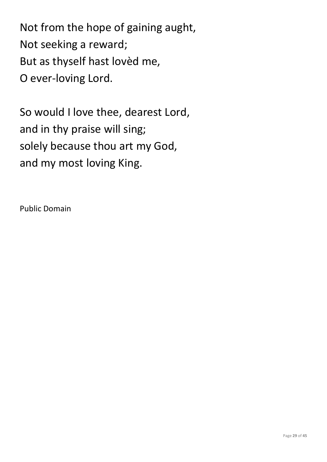Not from the hope of gaining aught, Not seeking a reward; But as thyself hast lovèd me, O ever-loving Lord.

So would I love thee, dearest Lord, and in thy praise will sing; solely because thou art my God, and my most loving King.

Public Domain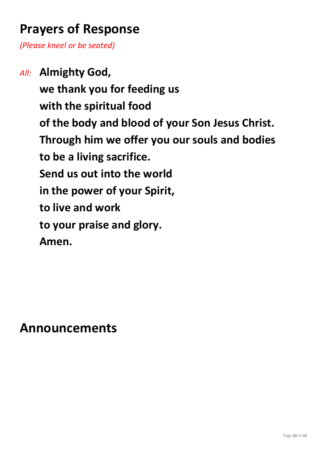## **Prayers of Response**

*(Please kneel or be seated)*

*All:* **Almighty God, we thank you for feeding us with the spiritual food of the body and blood of your Son Jesus Christ. Through him we offer you our souls and bodies to be a living sacrifice. Send us out into the world in the power of your Spirit, to live and work to your praise and glory. Amen.**

**Announcements**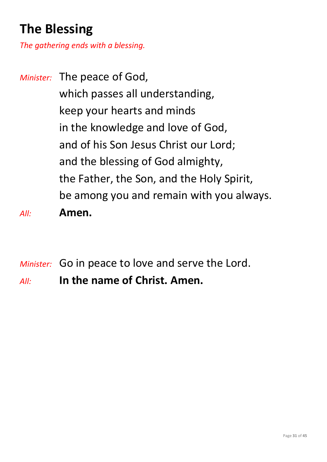# **The Blessing**

*The gathering ends with a blessing.*

*Minister:* The peace of God, which passes all understanding, keep your hearts and minds in the knowledge and love of God, and of his Son Jesus Christ our Lord; and the blessing of God almighty, the Father, the Son, and the Holy Spirit, be among you and remain with you always. *All:* **Amen.**

*Minister:* Go in peace to love and serve the Lord.

*All:* **In the name of Christ. Amen.**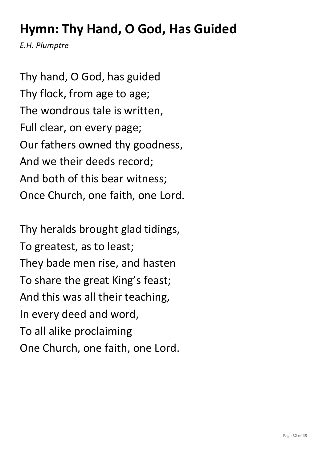# **Hymn: Thy Hand, O God, Has Guided**

*E.H. Plumptre*

Thy hand, O God, has guided Thy flock, from age to age; The wondrous tale is written, Full clear, on every page; Our fathers owned thy goodness, And we their deeds record; And both of this bear witness; Once Church, one faith, one Lord.

Thy heralds brought glad tidings, To greatest, as to least; They bade men rise, and hasten To share the great King's feast; And this was all their teaching, In every deed and word, To all alike proclaiming One Church, one faith, one Lord.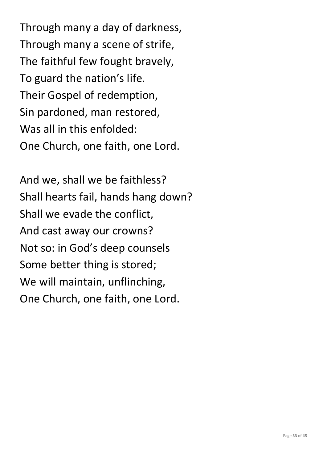Through many a day of darkness, Through many a scene of strife, The faithful few fought bravely, To guard the nation's life. Their Gospel of redemption, Sin pardoned, man restored, Was all in this enfolded: One Church, one faith, one Lord.

And we, shall we be faithless? Shall hearts fail, hands hang down? Shall we evade the conflict, And cast away our crowns? Not so: in God's deep counsels Some better thing is stored; We will maintain, unflinching, One Church, one faith, one Lord.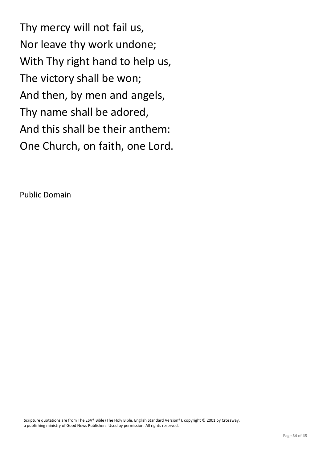Thy mercy will not fail us, Nor leave thy work undone; With Thy right hand to help us, The victory shall be won; And then, by men and angels, Thy name shall be adored, And this shall be their anthem: One Church, on faith, one Lord.

Public Domain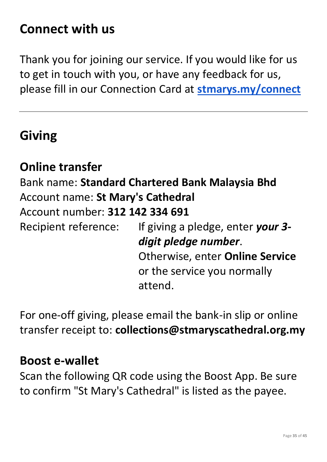### **Connect with us**

Thank you for joining our service. If you would like for us to get in touch with you, or have any feedback for us, please fill in our Connection Card at **[stmarys.my/connect](http://stmarys.my/connect)**

#### **Giving**

#### **Online transfer**

Bank name: **Standard Chartered Bank Malaysia Bhd** Account name: **St Mary's Cathedral** Account number: **312 142 334 691** Recipient reference: If giving a pledge, enter *your 3 digit pledge number*.

Otherwise, enter **Online Service** or the service you normally attend.

For one-off giving, please email the bank-in slip or online transfer receipt to: **collections@stmaryscathedral.org.my**

#### **Boost e-wallet**

Scan the following QR code using the Boost App. Be sure to confirm "St Mary's Cathedral" is listed as the payee.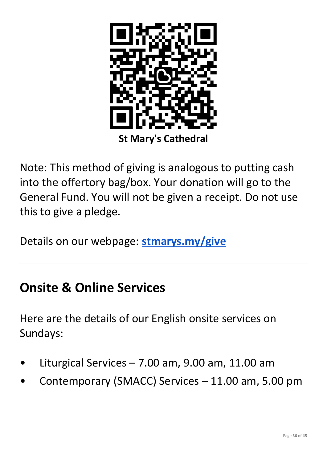

Note: This method of giving is analogous to putting cash into the offertory bag/box. Your donation will go to the General Fund. You will not be given a receipt. Do not use this to give a pledge.

Details on our webpage: **[stmarys.my/give](http://stmarys.my/give)**

#### **Onsite & Online Services**

Here are the details of our English onsite services on Sundays:

- Liturgical Services  $7.00$  am,  $9.00$  am,  $11.00$  am
- Contemporary (SMACC) Services 11.00 am, 5.00 pm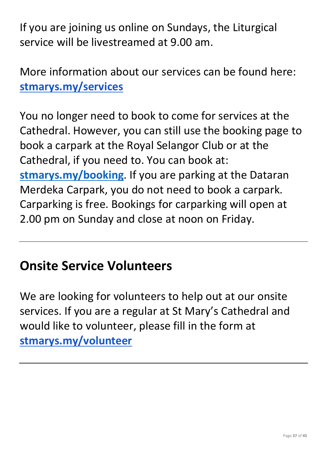If you are joining us online on Sundays, the Liturgical service will be livestreamed at 9.00 am.

More information about our services can be found here: **[stmarys.my/services](http://stmarys.my/services)**

You no longer need to book to come for services at the Cathedral. However, you can still use the booking page to book a carpark at the Royal Selangor Club or at the Cathedral, if you need to. You can book at: **[stmarys.my/booking](http://stmarys.my/booking)**. If you are parking at the Dataran Merdeka Carpark, you do not need to book a carpark. Carparking is free. Bookings for carparking will open at 2.00 pm on Sunday and close at noon on Friday.

## **Onsite Service Volunteers**

We are looking for volunteers to help out at our onsite services. If you are a regular at St Mary's Cathedral and would like to volunteer, please fill in the form at **[stmarys.my/volunteer](http://stmarys.my/volunteer)**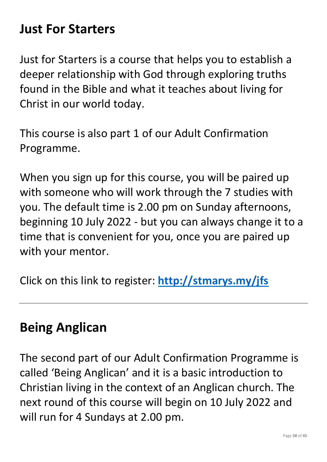#### **Just For Starters**

Just for Starters is a course that helps you to establish a deeper relationship with God through exploring truths found in the Bible and what it teaches about living for Christ in our world today.

This course is also part 1 of our Adult Confirmation Programme.

When you sign up for this course, you will be paired up with someone who will work through the 7 studies with you. The default time is 2.00 pm on Sunday afternoons, beginning 10 July 2022 - but you can always change it to a time that is convenient for you, once you are paired up with your mentor.

Click on this link to register: **<http://stmarys.my/jfs>**

#### **Being Anglican**

The second part of our Adult Confirmation Programme is called 'Being Anglican' and it is a basic introduction to Christian living in the context of an Anglican church. The next round of this course will begin on 10 July 2022 and will run for 4 Sundays at 2.00 pm.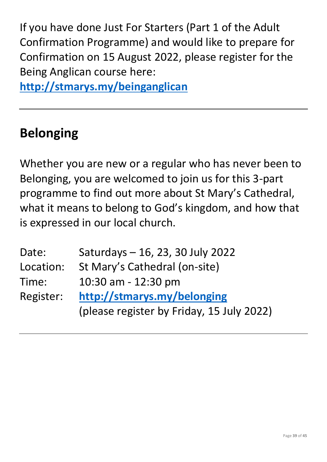If you have done Just For Starters (Part 1 of the Adult Confirmation Programme) and would like to prepare for Confirmation on 15 August 2022, please register for the Being Anglican course here:

**<http://stmarys.my/beinganglican>**

## **Belonging**

Whether you are new or a regular who has never been to Belonging, you are welcomed to join us for this 3-part programme to find out more about St Mary's Cathedral, what it means to belong to God's kingdom, and how that is expressed in our local church.

| Date:     | Saturdays - 16, 23, 30 July 2022          |
|-----------|-------------------------------------------|
| Location: | St Mary's Cathedral (on-site)             |
| Time:     | 10:30 am - 12:30 pm                       |
| Register: | http://stmarys.my/belonging               |
|           | (please register by Friday, 15 July 2022) |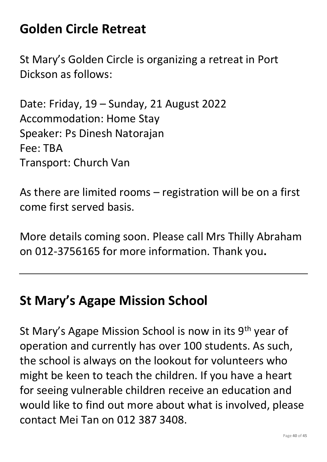## **Golden Circle Retreat**

St Mary's Golden Circle is organizing a retreat in Port Dickson as follows:

Date: Friday, 19 – Sunday, 21 August 2022 Accommodation: Home Stay Speaker: Ps Dinesh Natorajan Fee: TBA Transport: Church Van

As there are limited rooms – registration will be on a first come first served basis.

More details coming soon. Please call Mrs Thilly Abraham on 012-3756165 for more information. Thank you**.**

#### **St Mary's Agape Mission School**

St Mary's Agape Mission School is now in its 9<sup>th</sup> year of operation and currently has over 100 students. As such, the school is always on the lookout for volunteers who might be keen to teach the children. If you have a heart for seeing vulnerable children receive an education and would like to find out more about what is involved, please contact Mei Tan on 012 387 3408.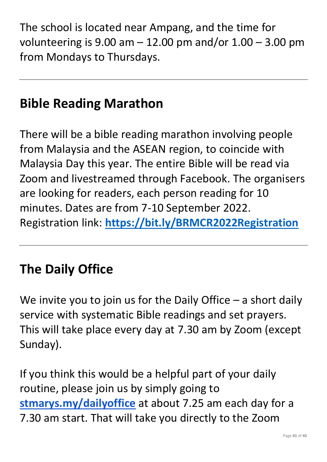The school is located near Ampang, and the time for volunteering is  $9.00$  am  $-12.00$  pm and/or  $1.00 - 3.00$  pm from Mondays to Thursdays.

## **Bible Reading Marathon**

There will be a bible reading marathon involving people from Malaysia and the ASEAN region, to coincide with Malaysia Day this year. The entire Bible will be read via Zoom and livestreamed through Facebook. The organisers are looking for readers, each person reading for 10 minutes. Dates are from 7-10 September 2022. Registration link: **<https://bit.ly/BRMCR2022Registration>**

## **The Daily Office**

We invite you to join us for the Daily Office  $-$  a short daily service with systematic Bible readings and set prayers. This will take place every day at 7.30 am by Zoom (except Sunday).

If you think this would be a helpful part of your daily routine, please join us by simply going to **[stmarys.my/dailyoffice](http://stmarys.my/dailyoffice)** at about 7.25 am each day for a 7.30 am start. That will take you directly to the Zoom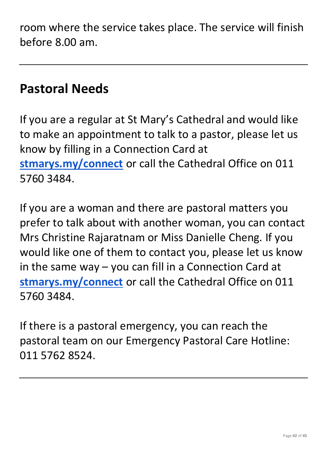room where the service takes place. The service will finish before 8.00 am.

#### **Pastoral Needs**

If you are a regular at St Mary's Cathedral and would like to make an appointment to talk to a pastor, please let us know by filling in a Connection Card at **[stmarys.my/connect](http://stmarys.my/connect)** or call the Cathedral Office on 011 5760 3484.

If you are a woman and there are pastoral matters you prefer to talk about with another woman, you can contact Mrs Christine Rajaratnam or Miss Danielle Cheng. If you would like one of them to contact you, please let us know in the same way – you can fill in a Connection Card at **[stmarys.my/connect](http://stmarys.my/connect)** or call the Cathedral Office on 011 5760 3484.

If there is a pastoral emergency, you can reach the pastoral team on our Emergency Pastoral Care Hotline: 011 5762 8524.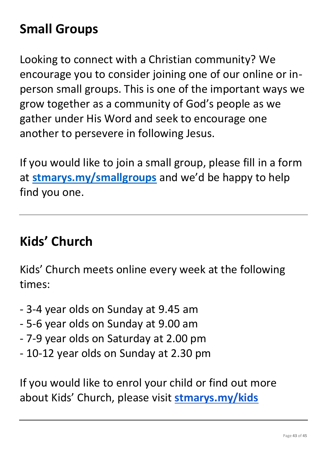# **Small Groups**

Looking to connect with a Christian community? We encourage you to consider joining one of our online or inperson small groups. This is one of the important ways we grow together as a community of God's people as we gather under His Word and seek to encourage one another to persevere in following Jesus.

If you would like to join a small group, please fill in a form at **[stmarys.my/smallgroups](http://stmarys.my/smallgroups)** and we'd be happy to help find you one.

#### **Kids' Church**

Kids' Church meets online every week at the following times:

- 3-4 year olds on Sunday at 9.45 am
- 5-6 year olds on Sunday at 9.00 am
- 7-9 year olds on Saturday at 2.00 pm
- 10-12 year olds on Sunday at 2.30 pm

If you would like to enrol your child or find out more about Kids' Church, please visit **[stmarys.my/kids](http://stmarys.my/kids)**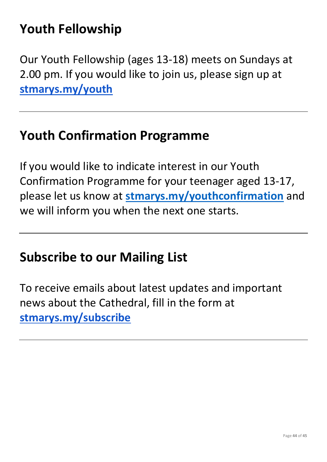# **Youth Fellowship**

Our Youth Fellowship (ages 13-18) meets on Sundays at 2.00 pm. If you would like to join us, please sign up at **[stmarys.my/youth](http://stmarys.my/youth)**

#### **Youth Confirmation Programme**

If you would like to indicate interest in our Youth Confirmation Programme for your teenager aged 13-17, please let us know at **[stmarys.my/youthconfirmation](http://stmarys.my/youthconfirmation)** and we will inform you when the next one starts.

#### **Subscribe to our Mailing List**

To receive emails about latest updates and important news about the Cathedral, fill in the form at **[stmarys.my/subscribe](http://stmarys.my/subscribe)**